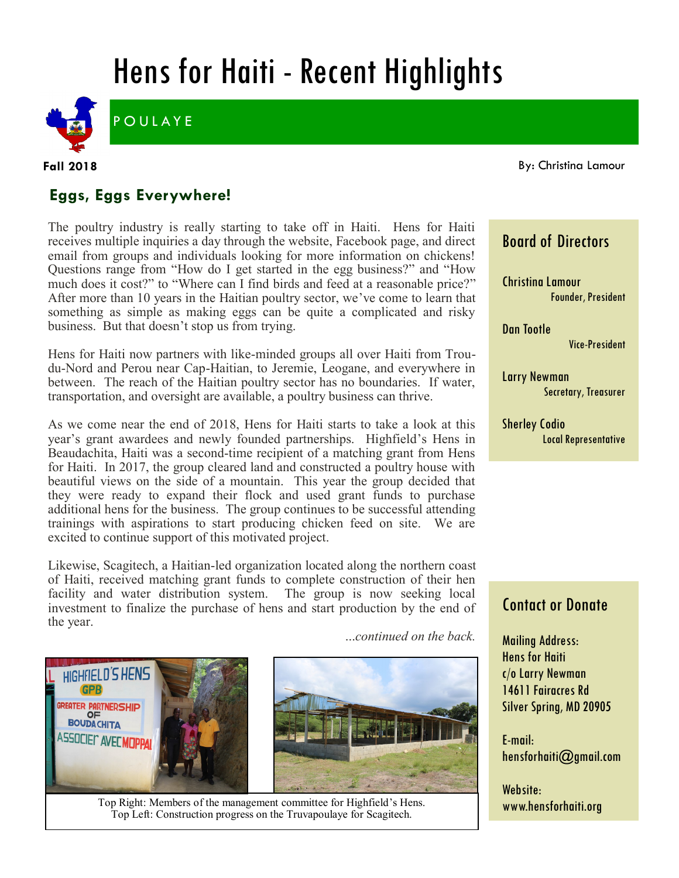# Hens for Haiti - Recent Highlights



**GPB** 

**POULAYE** 

**Fall 2018**

By: Christina Lamour

# **Eggs, Eggs Everywhere!**

The poultry industry is really starting to take off in Haiti. Hens for Haiti receives multiple inquiries a day through the website, Facebook page, and direct email from groups and individuals looking for more information on chickens! Questions range from "How do I get started in the egg business?" and "How much does it cost?" to "Where can I find birds and feed at a reasonable price?" After more than 10 years in the Haitian poultry sector, we've come to learn that something as simple as making eggs can be quite a complicated and risky business. But that doesn't stop us from trying.

Hens for Haiti now partners with like-minded groups all over Haiti from Troudu-Nord and Perou near Cap-Haitian, to Jeremie, Leogane, and everywhere in between. The reach of the Haitian poultry sector has no boundaries. If water, transportation, and oversight are available, a poultry business can thrive.

As we come near the end of 2018, Hens for Haiti starts to take a look at this year's grant awardees and newly founded partnerships. Highfield's Hens in Beaudachita, Haiti was a second-time recipient of a matching grant from Hens for Haiti. In 2017, the group cleared land and constructed a poultry house with beautiful views on the side of a mountain. This year the group decided that they were ready to expand their flock and used grant funds to purchase additional hens for the business. The group continues to be successful attending trainings with aspirations to start producing chicken feed on site. We are excited to continue support of this motivated project.

Likewise, Scagitech, a Haitian-led organization located along the northern coast of Haiti, received matching grant funds to complete construction of their hen facility and water distribution system. The group is now seeking local investment to finalize the purchase of hens and start production by the end of the year.

...*continued on the back.*



Top Right: Members of the management committee for Highfield's Hens. Top Left: Construction progress on the Truvapoulaye for Scagitech.

## Board of Directors

Christina Lamour Founder, President

Dan Tootle Vice-President

Larry Newman Secretary, Treasurer

Sherley Codio Local Representative

# Contact or Donate

Mailing Address: Hens for Haiti c/o Larry Newman 14611 Fairacres Rd Silver Spring, MD 20905

E-mail: hensforhaiti@gmail.com

Website: www.hensforhaiti.org